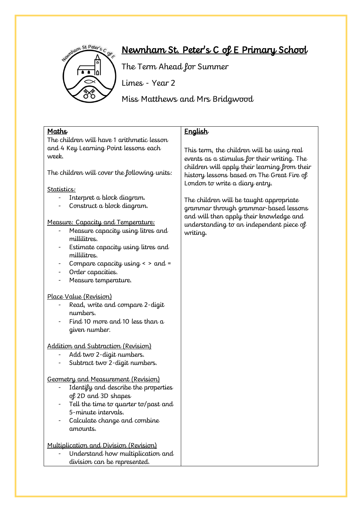

# Newnham St. Peter's C of E Primary School

The Term Ahead for Summer

Limes - Year 2

Miss Matthews and Mrs Bridgwood

| <b>Maths</b>                                                                                                                                                                                                  | English                                                                                                                       |
|---------------------------------------------------------------------------------------------------------------------------------------------------------------------------------------------------------------|-------------------------------------------------------------------------------------------------------------------------------|
| The children will have 1 arithmetic lesson                                                                                                                                                                    |                                                                                                                               |
| and 4 Key Learning Point lessons each<br>week.                                                                                                                                                                | This term, the children will be using real<br>events as a stimulus for their writing. The                                     |
| The children will cover the following units:                                                                                                                                                                  | children will apply their learning from their<br>history lessons based on The Great Fire of<br>London to write a diary entry. |
| Statistics:                                                                                                                                                                                                   |                                                                                                                               |
| Interpret a block diagram.<br>Construct a block diagram.                                                                                                                                                      | The children will be taught appropriate<br>grammar through grammar-based lessons<br>and will then apply their knowledge and   |
| Measure: Capacity and Temperature:<br>Measure capacity using litres and<br>millilitres.                                                                                                                       | understanding to an independent piece of<br>writing.                                                                          |
| Estimate capacity using litres and<br>millilitres.                                                                                                                                                            |                                                                                                                               |
| Compare capacity using $\epsilon$ > and =                                                                                                                                                                     |                                                                                                                               |
| Order capacities.                                                                                                                                                                                             |                                                                                                                               |
| Measure temperature.                                                                                                                                                                                          |                                                                                                                               |
| Place Value (Revision)<br>Read, write and compare 2-digit<br>numbers.<br>Find 10 more and 10 less than a<br>given number.                                                                                     |                                                                                                                               |
| Addition and Subtraction (Revision)<br>Add two 2-digit numbers.<br>Subtract two 2-digit numbers.                                                                                                              |                                                                                                                               |
| Geometry and Measurement (Revision)<br>Identify and describe the properties<br>of 2D and 3D shapes<br>Tell the time to quarter to/past and<br>5-minute intervals.<br>Calculate change and combine<br>amounts. |                                                                                                                               |
| Multiplication and Division (Revision)<br>Understand how multiplication and<br>division can be represented.                                                                                                   |                                                                                                                               |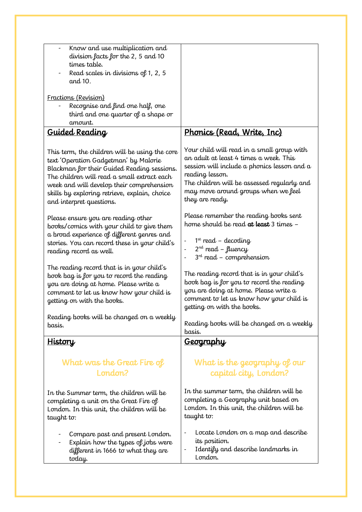| Know and use multiplication and                                                                                                                                                                            |                                                                                                                                                                                                            |
|------------------------------------------------------------------------------------------------------------------------------------------------------------------------------------------------------------|------------------------------------------------------------------------------------------------------------------------------------------------------------------------------------------------------------|
| division facts for the 2, 5 and 10<br>times table.                                                                                                                                                         |                                                                                                                                                                                                            |
| Read scales in divisions of 1, 2, 5                                                                                                                                                                        |                                                                                                                                                                                                            |
| and 10.                                                                                                                                                                                                    |                                                                                                                                                                                                            |
| Fractions (Revision)                                                                                                                                                                                       |                                                                                                                                                                                                            |
| Recognise and find one half, one                                                                                                                                                                           |                                                                                                                                                                                                            |
| third and one quarter of a shape or                                                                                                                                                                        |                                                                                                                                                                                                            |
| amount.                                                                                                                                                                                                    |                                                                                                                                                                                                            |
| <u>Guided Reading</u>                                                                                                                                                                                      | <u> Phonics (Read, Write, Inc)</u>                                                                                                                                                                         |
| This term, the children will be using the core<br>text 'Operation Gadgetman' by Malorie<br>Blackman for their Guided Reading sessions.<br>The children will read a small extract each                      | Your child will read in a small group with<br>an adult at least 4 times a week. This<br>session will include a phonics lesson and a<br>reading lesson.                                                     |
| week and will develop their comprehension<br>skills by exploring retrieve, explain, choice<br>and interpret questions.                                                                                     | The children will be assessed regularly and<br>may move around groups when we feel<br>they are ready.                                                                                                      |
| Please ensure you are reading other                                                                                                                                                                        | Please remember the reading books sent                                                                                                                                                                     |
| books/comics with your child to give them                                                                                                                                                                  | home should be read at least 3 times -                                                                                                                                                                     |
| a broad experience of different genres and<br>stories. You can record these in your child's                                                                                                                | $1st$ read – decoding                                                                                                                                                                                      |
| reading record as well.                                                                                                                                                                                    | $2^{nd}$ read - fluency                                                                                                                                                                                    |
|                                                                                                                                                                                                            | $3rd$ read – comprehension                                                                                                                                                                                 |
| The reading record that is in your child's<br>book bag is for you to record the reading<br>you are doing at home. Please write a<br>comment to let us know how your child is<br>getting on with the books. | The reading record that is in your child's<br>book bag is for you to record the reading<br>you are doing at home. Please write a<br>comment to let us know how your child is<br>getting on with the books. |
| Reading books will be changed on a weekly                                                                                                                                                                  |                                                                                                                                                                                                            |
| basis.                                                                                                                                                                                                     | Reading books will be changed on a weekly<br>basis.                                                                                                                                                        |
| <u>History</u>                                                                                                                                                                                             | <u>Geography</u>                                                                                                                                                                                           |
| What was the Great Fire of<br>London?                                                                                                                                                                      | What is the geography of our<br>capital city, London?                                                                                                                                                      |
| In the Summer term, the children will be                                                                                                                                                                   | In the summer term, the children will be                                                                                                                                                                   |
| completing a unit on the Great Fire of<br>London. In this unit, the children will be<br>taught to:                                                                                                         | London. In this unit, the children will be<br>taught to:                                                                                                                                                   |
| Compare past and present London.<br>Explain how the types of jobs were<br>different in 1666 to what they are                                                                                               | Locate London on a map and describe<br>its position.<br>Identify and describe landmarks in<br>London.                                                                                                      |
| today.                                                                                                                                                                                                     | completing a Geography unit based on                                                                                                                                                                       |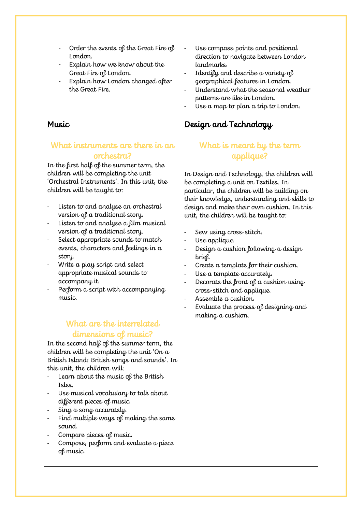| Order the events of the Great Fire of | $\qquad \qquad \blacksquare$ | Use compass points and positional    |
|---------------------------------------|------------------------------|--------------------------------------|
| $L$ ondon.                            |                              | direction to navigate between London |
| Explain how we know about the         |                              | landmarks.                           |
| Great Fire of London.                 |                              | Identify and describe a variety of   |
| Explain how London changed after      |                              | geographical features in London.     |
| the Great Fire.                       |                              | Understand what the seasonal weather |
|                                       |                              | patterns are like in London.         |
|                                       |                              | Use a map to plan a trip to London.  |
|                                       |                              |                                      |

#### Music

### What instruments are there in an orchestra?

In the first half of the summer term, the children will be completing the unit 'Orchestral Instruments'. In this unit, the children will be taught to:

- Listen to and analyse an orchestral version of a traditional story.
- Listen to and analyse a film musical version of a traditional story.
- Select appropriate sounds to match events, characters and feelings in a story.
- Write a play script and select appropriate musical sounds to accompany it.
- Perform a script with accompanying music.

## What are the interrelated dimensions of music?

In the second half of the summer term, the children will be completing the unit 'On a British Island: British songs and sounds'. In this unit, the children will:

- Learn about the music of the British Isles.
- Use musical vocabulary to talk about different pieces of music.
- Sing a song accurately.
- Find multiple ways of making the same sound.
- Compare pieces of music.
- Compose, perform and evaluate a piece of music.

# What is meant by the term

Design and Technology

applique?

In Design and Technology, the children will be completing a unit on Textiles. In particular, the children will be building on their knowledge, understanding and skills to design and make their own cushion. In this unit, the children will be taught to:

- Sew using cross-stitch.
- Use applique.
- Design a cushion following a design brief.
- Create a template for their cushion.
- Use a template accurately.
- Decorate the front of a cushion using cross-stitch and applique.
- Assemble a cushion.
- Evaluate the process of designing and making a cushion.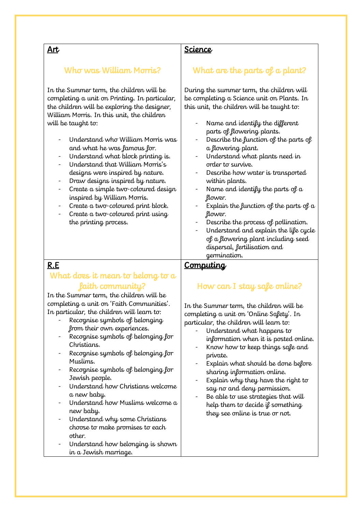#### Art

#### Science

#### Who was William Morris?

In the Summer term, the children will be completing a unit on Printing. In particular, the children will be exploring the designer, William Morris. In this unit, the children will be taught to:

- Understand who William Morris was and what he was famous for.
- Understand what block printing is.
- Understand that William Morris's designs were inspired by nature.
- Draw designs inspired by nature.
- Create a simple two-coloured design inspired by William Morris.
- Create a two-coloured print block.
- Create a two-coloured print using the printing process.

# What are the parts of a plant?

During the summer term, the children will be completing a Science unit on Plants. In this unit, the children will be taught to:

- Name and identify the different parts of flowering plants.
- Describe the function of the parts of a flowering plant.
- Understand what plants need in order to survive.
- Describe how water is transported within plants.
- Name and identify the parts of  $a$ flower.
- Explain the function of the parts of  $a$ flower.
- Describe the process of pollination.
- Understand and explain the life cycle of a flowering plant including seed dispersal, fertilisation and germination.

#### R.E

### What does it mean to belong to a faith community?

In the Summer term, the children will be completing a unit on 'Faith Communities'. In particular, the children will learn to:

- Recognise symbols of belonging from their own experiences.
- Recognise symbols of belonging for Christians.
- Recognise symbols of belonging for Muslims.
- Recognise symbols of belonging for Jewish people.
- Understand how Christians welcome a new baby.
- Understand how Muslims welcome a new baby.
- Understand why some Christians choose to make promises to each other.
- Understand how belonging is shown in a Jewish marriage.

# **Computing**

## How can I stay safe online?

In the Summer term, the children will be completing a unit on 'Online Safety'. In particular, the children will learn to:

- Understand what happens to information when it is posted online.
- Know how to keep things safe and private.
- Explain what should be done before sharing information online.
- Explain why they have the right to say no and deny permission.
- Be able to use strategies that will help them to decide if something they see online is true or not.